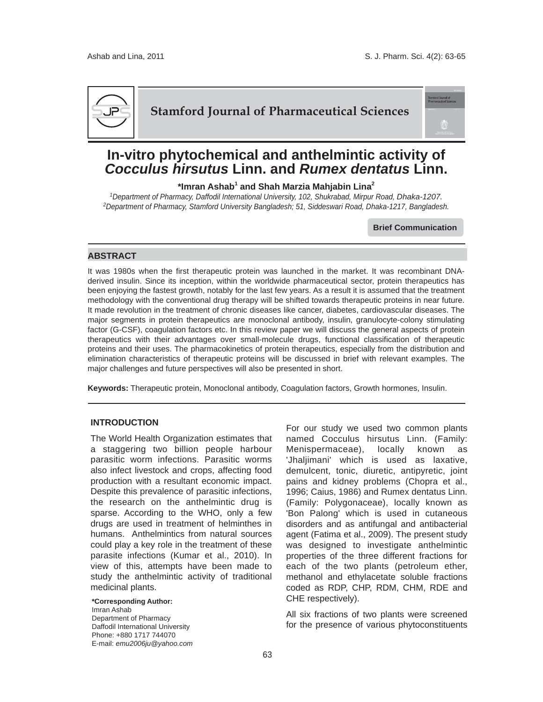

## **Stamford Journal of Pharmaceutical Sciences**

# **In-vitro phytochemical and anthelmintic activity of**  *Cocculus hirsutus* **Linn. and** *Rumex dentatus* **Linn.**

**\*Imran Ashab<sup>1</sup> and Shah Marzia Mahjabin Lina2**

*1Department of Pharmacy, Daffodil International University, 102, Shukrabad, Mirpur Road, Dhaka-1207. 2Department of Pharmacy, Stamford University Bangladesh; 51, Siddeswari Road, Dhaka-1217, Bangladesh.*

**Brief Communication**

#### **ABSTRACT**

It was 1980s when the first therapeutic protein was launched in the market. It was recombinant DNAderived insulin. Since its inception, within the worldwide pharmaceutical sector, protein therapeutics has been enjoying the fastest growth, notably for the last few years. As a result it is assumed that the treatment methodology with the conventional drug therapy will be shifted towards therapeutic proteins in near future. It made revolution in the treatment of chronic diseases like cancer, diabetes, cardiovascular diseases. The major segments in protein therapeutics are monoclonal antibody, insulin, granulocyte-colony stimulating factor (G-CSF), coagulation factors etc. In this review paper we will discuss the general aspects of protein therapeutics with their advantages over small-molecule drugs, functional classification of therapeutic proteins and their uses. The pharmacokinetics of protein therapeutics, especially from the distribution and elimination characteristics of therapeutic proteins will be discussed in brief with relevant examples. The major challenges and future perspectives will also be presented in short.

**Keywords:** Therapeutic protein, Monoclonal antibody, Coagulation factors, Growth hormones, Insulin.

### **INTRODUCTION**

The World Health Organization estimates that a staggering two billion people harbour parasitic worm infections. Parasitic worms also infect livestock and crops, affecting food production with a resultant economic impact. Despite this prevalence of parasitic infections, the research on the anthelmintic drug is sparse. According to the WHO, only a few drugs are used in treatment of helminthes in humans. Anthelmintics from natural sources could play a key role in the treatment of these parasite infections (Kumar et al., 2010). In view of this, attempts have been made to study the anthelmintic activity of traditional medicinal plants.

**\*Corresponding Author:** 

Imran Ashab Department of Pharmacy Daffodil International University Phone: +880 1717 744070 E-mail: *emu2006ju@yahoo.com* For our study we used two common plants named Cocculus hirsutus Linn. (Family: Menispermaceae), locally known as 'Jhaljimani' which is used as laxative, demulcent, tonic, diuretic, antipyretic, joint pains and kidney problems (Chopra et al., 1996; Caius, 1986) and Rumex dentatus Linn. (Family: Polygonaceae), locally known as 'Bon Palong' which is used in cutaneous disorders and as antifungal and antibacterial agent (Fatima et al., 2009). The present study was designed to investigate anthelmintic properties of the three different fractions for each of the two plants (petroleum ether, methanol and ethylacetate soluble fractions coded as RDP, CHP, RDM, CHM, RDE and CHE respectively).

All six fractions of two plants were screened for the presence of various phytoconstituents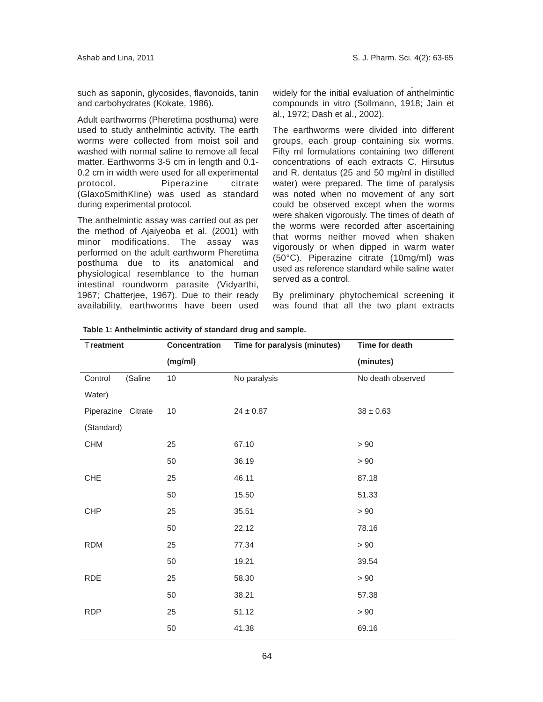such as saponin, glycosides, flavonoids, tanin and carbohydrates (Kokate, 1986).

Adult earthworms (Pheretima posthuma) were used to study anthelmintic activity. The earth worms were collected from moist soil and washed with normal saline to remove all fecal matter. Earthworms 3-5 cm in length and 0.1- 0.2 cm in width were used for all experimental protocol. Piperazine citrate (GlaxoSmithKline) was used as standard during experimental protocol.

The anthelmintic assay was carried out as per the method of Ajaiyeoba et al. (2001) with minor modifications. The assay was performed on the adult earthworm Pheretima posthuma due to its anatomical and physiological resemblance to the human intestinal roundworm parasite (Vidyarthi, 1967; Chatterjee, 1967). Due to their ready availability, earthworms have been used widely for the initial evaluation of anthelmintic compounds in vitro (Sollmann, 1918; Jain et al., 1972; Dash et al., 2002).

The earthworms were divided into different groups, each group containing six worms. Fifty ml formulations containing two different concentrations of each extracts C. Hirsutus and R. dentatus (25 and 50 mg/ml in distilled water) were prepared. The time of paralysis was noted when no movement of any sort could be observed except when the worms were shaken vigorously. The times of death of the worms were recorded after ascertaining that worms neither moved when shaken vigorously or when dipped in warm water (50°C). Piperazine citrate (10mg/ml) was used as reference standard while saline water served as a control.

By preliminary phytochemical screening it was found that all the two plant extracts

| Treatment             | Concentration | Time for paralysis (minutes) | Time for death    |
|-----------------------|---------------|------------------------------|-------------------|
|                       | (mg/ml)       |                              | (minutes)         |
| Control<br>(Saline    | $10$          | No paralysis                 | No death observed |
| Water)                |               |                              |                   |
| Piperazine<br>Citrate | 10            | $24 \pm 0.87$                | $38 \pm 0.63$     |
| (Standard)            |               |                              |                   |
| <b>CHM</b>            | 25            | 67.10                        | $>90\,$           |
|                       | 50            | 36.19                        | $>90\,$           |
| CHE                   | 25            | 46.11                        | 87.18             |
|                       | 50            | 15.50                        | 51.33             |
| <b>CHP</b>            | 25            | 35.51                        | > 90              |
|                       | 50            | 22.12                        | 78.16             |
| <b>RDM</b>            | 25            | 77.34                        | $>90\,$           |
|                       | 50            | 19.21                        | 39.54             |
| <b>RDE</b>            | 25            | 58.30                        | $>90$             |
|                       | 50            | 38.21                        | 57.38             |
| <b>RDP</b>            | 25            | 51.12                        | > 90              |
|                       | 50            | 41.38                        | 69.16             |

**Table 1: Anthelmintic activity of standard drug and sample.**